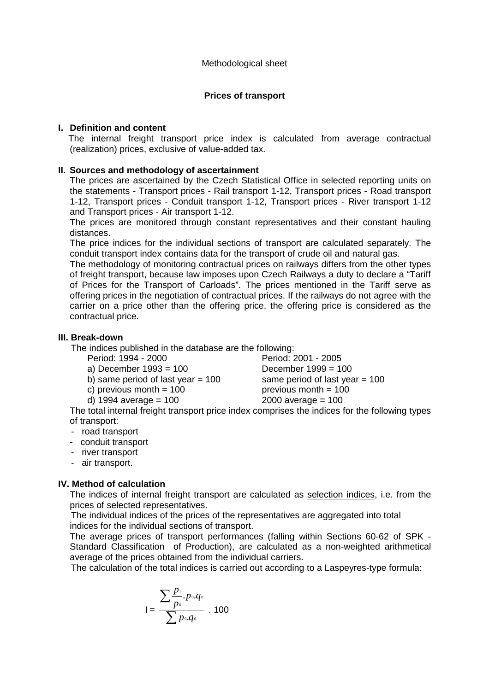## **Prices of transport**

# **I. Definition and content**

The internal freight transport price index is calculated from average contractual (realization) prices, exclusive of value-added tax.

#### **II. Sources and methodology of ascertainment**

The prices are ascertained by the Czech Statistical Office in selected reporting units on the statements - Transport prices - Rail transport 1-12, Transport prices - Road transport 1-12, Transport prices - Conduit transport 1-12, Transport prices - River transport 1-12 and Transport prices - Air transport 1-12.

The prices are monitored through constant representatives and their constant hauling distances.

The price indices for the individual sections of transport are calculated separately. The conduit transport index contains data for the transport of crude oil and natural gas.

The methodology of monitoring contractual prices on railways differs from the other types of freight transport, because law imposes upon Czech Railways a duty to declare a "Tariff of Prices for the Transport of Carloads". The prices mentioned in the Tariff serve as offering prices in the negotiation of contractual prices. If the railways do not agree with the carrier on a price other than the offering price, the offering price is considered as the contractual price.

#### **III. Break-down**

The indices published in the database are the following:

| Period: 1994 - 2000 |  |  |
|---------------------|--|--|
|                     |  |  |

- 
- 
- 

Period: 2001 - 2005 a) December 1993 = 100 December 1999 = 100 b) same period of last year  $= 100$  same period of last year  $= 100$ c) previous month  $= 100$  previous month  $= 100$ d)  $1994$  average =  $100$  2000 average =  $100$ 

The total internal freight transport price index comprises the indices for the following types of transport:

- road transport
- conduit transport
- river transport
- air transport.

# **IV. Method of calculation**

The indices of internal freight transport are calculated as selection indices, i.e. from the prices of selected representatives.

 The individual indices of the prices of the representatives are aggregated into total indices for the individual sections of transport.

The average prices of transport performances (falling within Sections 60-62 of SPK - Standard Classification of Production), are calculated as a non-weighted arithmetical average of the prices obtained from the individual carriers.

The calculation of the total indices is carried out according to a Laspeyres-type formula:

$$
I = \frac{\sum_{p_0}^{p_1} p_0 q_0}{\sum_{p_0}^{p_0} p_0 q_0} \cdot 100
$$